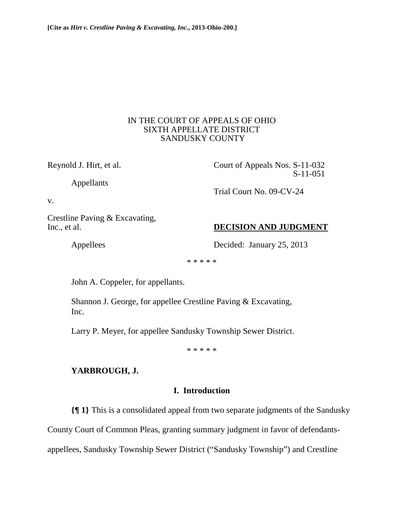## IN THE COURT OF APPEALS OF OHIO SIXTH APPELLATE DISTRICT SANDUSKY COUNTY

Appellants

Reynold J. Hirt, et al. Court of Appeals Nos. S-11-032 S-11-051

v.

Crestline Paving & Excavating,

# Inc., et al. **DECISION AND JUDGMENT**

Appellees Decided: January 25, 2013

Trial Court No. 09-CV-24

\* \* \* \* \*

John A. Coppeler, for appellants.

 Shannon J. George, for appellee Crestline Paving & Excavating, Inc.

Larry P. Meyer, for appellee Sandusky Township Sewer District.

\* \* \* \* \*

# **YARBROUGH, J.**

# **I. Introduction**

**{¶ 1}** This is a consolidated appeal from two separate judgments of the Sandusky

County Court of Common Pleas, granting summary judgment in favor of defendants-

appellees, Sandusky Township Sewer District ("Sandusky Township") and Crestline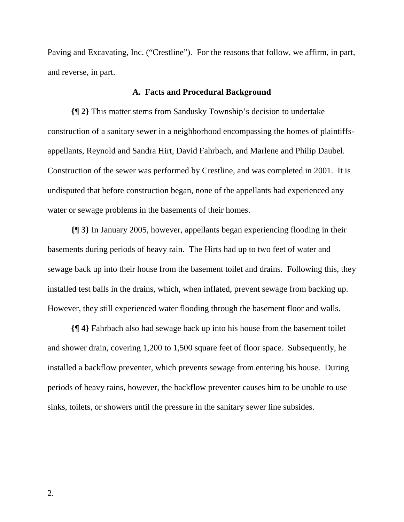Paving and Excavating, Inc. ("Crestline"). For the reasons that follow, we affirm, in part, and reverse, in part.

#### **A. Facts and Procedural Background**

**{¶ 2}** This matter stems from Sandusky Township's decision to undertake construction of a sanitary sewer in a neighborhood encompassing the homes of plaintiffsappellants, Reynold and Sandra Hirt, David Fahrbach, and Marlene and Philip Daubel. Construction of the sewer was performed by Crestline, and was completed in 2001. It is undisputed that before construction began, none of the appellants had experienced any water or sewage problems in the basements of their homes.

**{¶ 3}** In January 2005, however, appellants began experiencing flooding in their basements during periods of heavy rain. The Hirts had up to two feet of water and sewage back up into their house from the basement toilet and drains. Following this, they installed test balls in the drains, which, when inflated, prevent sewage from backing up. However, they still experienced water flooding through the basement floor and walls.

**{¶ 4}** Fahrbach also had sewage back up into his house from the basement toilet and shower drain, covering 1,200 to 1,500 square feet of floor space. Subsequently, he installed a backflow preventer, which prevents sewage from entering his house. During periods of heavy rains, however, the backflow preventer causes him to be unable to use sinks, toilets, or showers until the pressure in the sanitary sewer line subsides.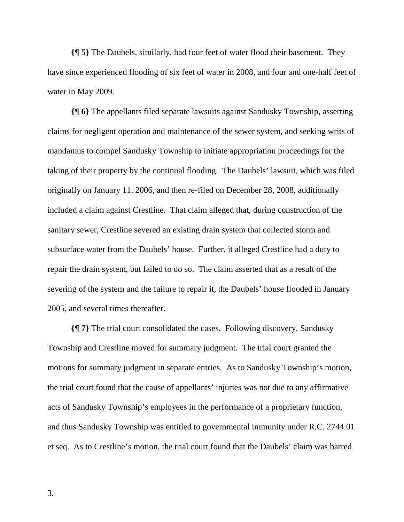**{¶ 5}** The Daubels, similarly, had four feet of water flood their basement. They have since experienced flooding of six feet of water in 2008, and four and one-half feet of water in May 2009.

**{¶ 6}** The appellants filed separate lawsuits against Sandusky Township, asserting claims for negligent operation and maintenance of the sewer system, and seeking writs of mandamus to compel Sandusky Township to initiate appropriation proceedings for the taking of their property by the continual flooding. The Daubels' lawsuit, which was filed originally on January 11, 2006, and then re-filed on December 28, 2008, additionally included a claim against Crestline. That claim alleged that, during construction of the sanitary sewer, Crestline severed an existing drain system that collected storm and subsurface water from the Daubels' house. Further, it alleged Crestline had a duty to repair the drain system, but failed to do so. The claim asserted that as a result of the severing of the system and the failure to repair it, the Daubels' house flooded in January 2005, and several times thereafter.

**{¶ 7}** The trial court consolidated the cases. Following discovery, Sandusky Township and Crestline moved for summary judgment. The trial court granted the motions for summary judgment in separate entries. As to Sandusky Township's motion, the trial court found that the cause of appellants' injuries was not due to any affirmative acts of Sandusky Township's employees in the performance of a proprietary function, and thus Sandusky Township was entitled to governmental immunity under R.C. 2744.01 et seq. As to Crestline's motion, the trial court found that the Daubels' claim was barred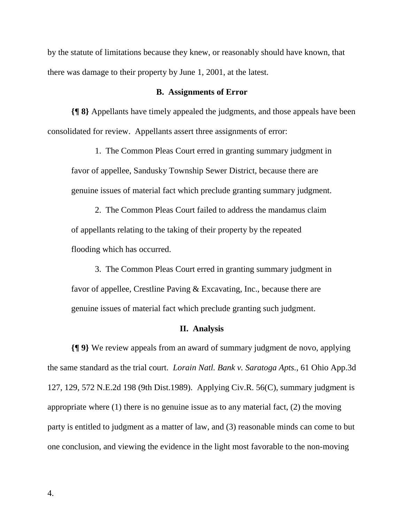by the statute of limitations because they knew, or reasonably should have known, that there was damage to their property by June 1, 2001, at the latest.

## **B. Assignments of Error**

**{¶ 8}** Appellants have timely appealed the judgments, and those appeals have been consolidated for review. Appellants assert three assignments of error:

1. The Common Pleas Court erred in granting summary judgment in favor of appellee, Sandusky Township Sewer District, because there are genuine issues of material fact which preclude granting summary judgment.

2. The Common Pleas Court failed to address the mandamus claim of appellants relating to the taking of their property by the repeated flooding which has occurred.

3. The Common Pleas Court erred in granting summary judgment in favor of appellee, Crestline Paving & Excavating, Inc., because there are genuine issues of material fact which preclude granting such judgment.

#### **II. Analysis**

**{¶ 9}** We review appeals from an award of summary judgment de novo, applying the same standard as the trial court. *Lorain Natl. Bank v. Saratoga Apts.*, 61 Ohio App.3d 127, 129, 572 N.E.2d 198 (9th Dist.1989). Applying Civ.R. 56(C), summary judgment is appropriate where (1) there is no genuine issue as to any material fact, (2) the moving party is entitled to judgment as a matter of law, and (3) reasonable minds can come to but one conclusion, and viewing the evidence in the light most favorable to the non-moving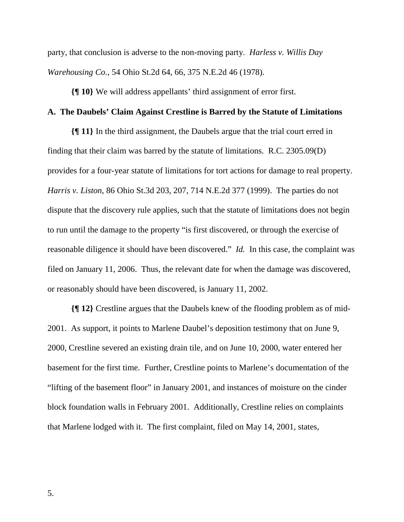party, that conclusion is adverse to the non-moving party. *Harless v. Willis Day Warehousing Co.*, 54 Ohio St.2d 64, 66, 375 N.E.2d 46 (1978).

**{¶ 10}** We will address appellants' third assignment of error first.

## **A. The Daubels' Claim Against Crestline is Barred by the Statute of Limitations**

**{¶ 11}** In the third assignment, the Daubels argue that the trial court erred in finding that their claim was barred by the statute of limitations. R.C. 2305.09(D) provides for a four-year statute of limitations for tort actions for damage to real property. *Harris v. Liston*, 86 Ohio St.3d 203, 207, 714 N.E.2d 377 (1999). The parties do not dispute that the discovery rule applies, such that the statute of limitations does not begin to run until the damage to the property "is first discovered, or through the exercise of reasonable diligence it should have been discovered." *Id.* In this case, the complaint was filed on January 11, 2006. Thus, the relevant date for when the damage was discovered, or reasonably should have been discovered, is January 11, 2002.

**{¶ 12}** Crestline argues that the Daubels knew of the flooding problem as of mid-2001. As support, it points to Marlene Daubel's deposition testimony that on June 9, 2000, Crestline severed an existing drain tile, and on June 10, 2000, water entered her basement for the first time. Further, Crestline points to Marlene's documentation of the "lifting of the basement floor" in January 2001, and instances of moisture on the cinder block foundation walls in February 2001. Additionally, Crestline relies on complaints that Marlene lodged with it. The first complaint, filed on May 14, 2001, states,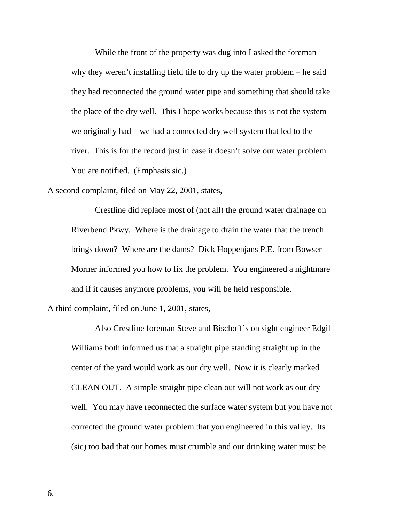While the front of the property was dug into I asked the foreman why they weren't installing field tile to dry up the water problem – he said they had reconnected the ground water pipe and something that should take the place of the dry well. This I hope works because this is not the system we originally had – we had a connected dry well system that led to the river. This is for the record just in case it doesn't solve our water problem. You are notified. (Emphasis sic.)

A second complaint, filed on May 22, 2001, states,

Crestline did replace most of (not all) the ground water drainage on Riverbend Pkwy. Where is the drainage to drain the water that the trench brings down? Where are the dams? Dick Hoppenjans P.E. from Bowser Morner informed you how to fix the problem. You engineered a nightmare and if it causes anymore problems, you will be held responsible.

A third complaint, filed on June 1, 2001, states,

Also Crestline foreman Steve and Bischoff's on sight engineer Edgil Williams both informed us that a straight pipe standing straight up in the center of the yard would work as our dry well. Now it is clearly marked CLEAN OUT. A simple straight pipe clean out will not work as our dry well. You may have reconnected the surface water system but you have not corrected the ground water problem that you engineered in this valley. Its (sic) too bad that our homes must crumble and our drinking water must be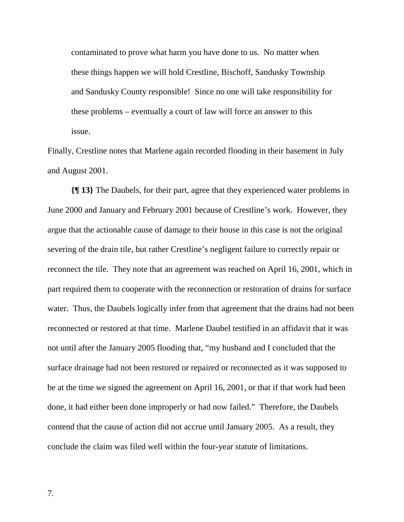contaminated to prove what harm you have done to us. No matter when these things happen we will hold Crestline, Bischoff, Sandusky Township and Sandusky County responsible! Since no one will take responsibility for these problems – eventually a court of law will force an answer to this issue.

Finally, Crestline notes that Marlene again recorded flooding in their basement in July and August 2001.

**{¶ 13}** The Daubels, for their part, agree that they experienced water problems in June 2000 and January and February 2001 because of Crestline's work. However, they argue that the actionable cause of damage to their house in this case is not the original severing of the drain tile, but rather Crestline's negligent failure to correctly repair or reconnect the tile. They note that an agreement was reached on April 16, 2001, which in part required them to cooperate with the reconnection or restoration of drains for surface water. Thus, the Daubels logically infer from that agreement that the drains had not been reconnected or restored at that time. Marlene Daubel testified in an affidavit that it was not until after the January 2005 flooding that, "my husband and I concluded that the surface drainage had not been restored or repaired or reconnected as it was supposed to be at the time we signed the agreement on April 16, 2001, or that if that work had been done, it had either been done improperly or had now failed." Therefore, the Daubels contend that the cause of action did not accrue until January 2005. As a result, they conclude the claim was filed well within the four-year statute of limitations.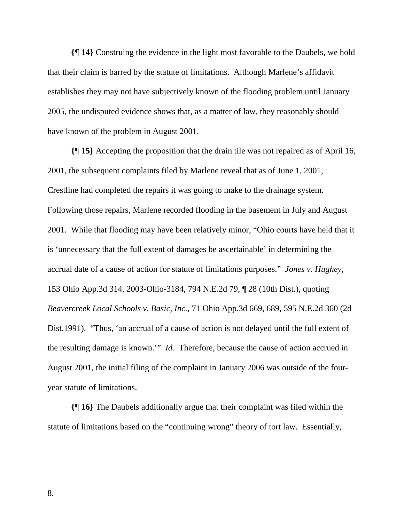**{¶ 14}** Construing the evidence in the light most favorable to the Daubels, we hold that their claim is barred by the statute of limitations. Although Marlene's affidavit establishes they may not have subjectively known of the flooding problem until January 2005, the undisputed evidence shows that, as a matter of law, they reasonably should have known of the problem in August 2001.

**{¶ 15}** Accepting the proposition that the drain tile was not repaired as of April 16, 2001, the subsequent complaints filed by Marlene reveal that as of June 1, 2001, Crestline had completed the repairs it was going to make to the drainage system. Following those repairs, Marlene recorded flooding in the basement in July and August 2001. While that flooding may have been relatively minor, "Ohio courts have held that it is 'unnecessary that the full extent of damages be ascertainable' in determining the accrual date of a cause of action for statute of limitations purposes." *Jones v. Hughey*, 153 Ohio App.3d 314, 2003-Ohio-3184, 794 N.E.2d 79, ¶ 28 (10th Dist.), quoting *Beavercreek Local Schools v. Basic, Inc.*, 71 Ohio App.3d 669, 689, 595 N.E.2d 360 (2d Dist.1991). "Thus, 'an accrual of a cause of action is not delayed until the full extent of the resulting damage is known.'" *Id.* Therefore, because the cause of action accrued in August 2001, the initial filing of the complaint in January 2006 was outside of the fouryear statute of limitations.

**{¶ 16}** The Daubels additionally argue that their complaint was filed within the statute of limitations based on the "continuing wrong" theory of tort law. Essentially,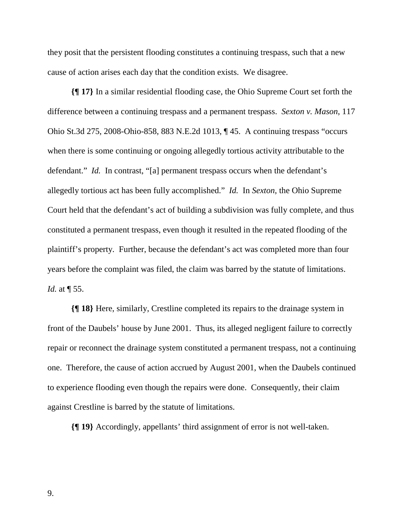they posit that the persistent flooding constitutes a continuing trespass, such that a new cause of action arises each day that the condition exists. We disagree.

**{¶ 17}** In a similar residential flooding case, the Ohio Supreme Court set forth the difference between a continuing trespass and a permanent trespass. *Sexton v. Mason*, 117 Ohio St.3d 275, 2008-Ohio-858, 883 N.E.2d 1013, ¶ 45. A continuing trespass "occurs when there is some continuing or ongoing allegedly tortious activity attributable to the defendant." *Id.* In contrast, "[a] permanent trespass occurs when the defendant's allegedly tortious act has been fully accomplished." *Id.* In *Sexton*, the Ohio Supreme Court held that the defendant's act of building a subdivision was fully complete, and thus constituted a permanent trespass, even though it resulted in the repeated flooding of the plaintiff's property. Further, because the defendant's act was completed more than four years before the complaint was filed, the claim was barred by the statute of limitations. *Id.* at ¶ 55.

**{¶ 18}** Here, similarly, Crestline completed its repairs to the drainage system in front of the Daubels' house by June 2001. Thus, its alleged negligent failure to correctly repair or reconnect the drainage system constituted a permanent trespass, not a continuing one. Therefore, the cause of action accrued by August 2001, when the Daubels continued to experience flooding even though the repairs were done. Consequently, their claim against Crestline is barred by the statute of limitations.

**{¶ 19}** Accordingly, appellants' third assignment of error is not well-taken.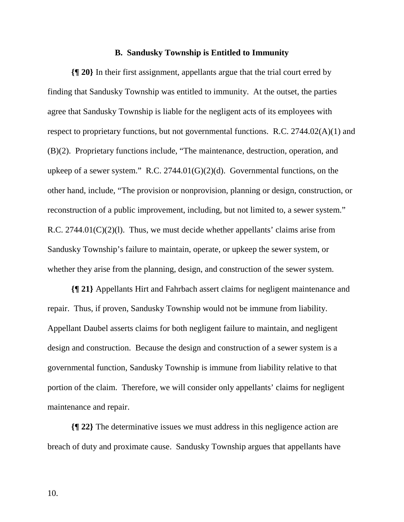#### **B. Sandusky Township is Entitled to Immunity**

**{¶ 20}** In their first assignment, appellants argue that the trial court erred by finding that Sandusky Township was entitled to immunity. At the outset, the parties agree that Sandusky Township is liable for the negligent acts of its employees with respect to proprietary functions, but not governmental functions. R.C. 2744.02(A)(1) and (B)(2). Proprietary functions include, "The maintenance, destruction, operation, and upkeep of a sewer system." R.C. 2744.01(G)(2)(d). Governmental functions, on the other hand, include, "The provision or nonprovision, planning or design, construction, or reconstruction of a public improvement, including, but not limited to, a sewer system." R.C.  $2744.01(C)(2)(1)$ . Thus, we must decide whether appellants' claims arise from Sandusky Township's failure to maintain, operate, or upkeep the sewer system, or whether they arise from the planning, design, and construction of the sewer system.

**{¶ 21}** Appellants Hirt and Fahrbach assert claims for negligent maintenance and repair. Thus, if proven, Sandusky Township would not be immune from liability. Appellant Daubel asserts claims for both negligent failure to maintain, and negligent design and construction. Because the design and construction of a sewer system is a governmental function, Sandusky Township is immune from liability relative to that portion of the claim. Therefore, we will consider only appellants' claims for negligent maintenance and repair.

**{¶ 22}** The determinative issues we must address in this negligence action are breach of duty and proximate cause. Sandusky Township argues that appellants have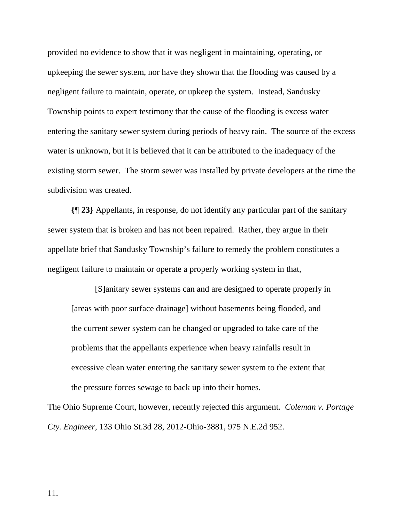provided no evidence to show that it was negligent in maintaining, operating, or upkeeping the sewer system, nor have they shown that the flooding was caused by a negligent failure to maintain, operate, or upkeep the system. Instead, Sandusky Township points to expert testimony that the cause of the flooding is excess water entering the sanitary sewer system during periods of heavy rain. The source of the excess water is unknown, but it is believed that it can be attributed to the inadequacy of the existing storm sewer. The storm sewer was installed by private developers at the time the subdivision was created.

**{¶ 23}** Appellants, in response, do not identify any particular part of the sanitary sewer system that is broken and has not been repaired. Rather, they argue in their appellate brief that Sandusky Township's failure to remedy the problem constitutes a negligent failure to maintain or operate a properly working system in that,

[S]anitary sewer systems can and are designed to operate properly in [areas with poor surface drainage] without basements being flooded, and the current sewer system can be changed or upgraded to take care of the problems that the appellants experience when heavy rainfalls result in excessive clean water entering the sanitary sewer system to the extent that the pressure forces sewage to back up into their homes.

The Ohio Supreme Court, however, recently rejected this argument. *Coleman v. Portage Cty. Engineer*, 133 Ohio St.3d 28, 2012-Ohio-3881, 975 N.E.2d 952.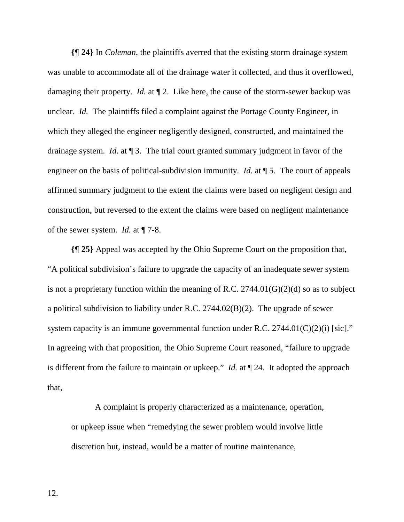**{¶ 24}** In *Coleman*, the plaintiffs averred that the existing storm drainage system was unable to accommodate all of the drainage water it collected, and thus it overflowed, damaging their property. *Id.* at ¶ 2. Like here, the cause of the storm-sewer backup was unclear. *Id.* The plaintiffs filed a complaint against the Portage County Engineer, in which they alleged the engineer negligently designed, constructed, and maintained the drainage system. *Id.* at ¶ 3. The trial court granted summary judgment in favor of the engineer on the basis of political-subdivision immunity. *Id.* at ¶ 5. The court of appeals affirmed summary judgment to the extent the claims were based on negligent design and construction, but reversed to the extent the claims were based on negligent maintenance of the sewer system. *Id.* at ¶ 7-8.

**{¶ 25}** Appeal was accepted by the Ohio Supreme Court on the proposition that, "A political subdivision's failure to upgrade the capacity of an inadequate sewer system is not a proprietary function within the meaning of R.C.  $2744.01(G)(2)(d)$  so as to subject a political subdivision to liability under R.C. 2744.02(B)(2). The upgrade of sewer system capacity is an immune governmental function under R.C.  $2744.01(C)(2)(i)$  [sic]." In agreeing with that proposition, the Ohio Supreme Court reasoned, "failure to upgrade is different from the failure to maintain or upkeep." *Id.* at ¶ 24. It adopted the approach that,

A complaint is properly characterized as a maintenance, operation, or upkeep issue when "remedying the sewer problem would involve little discretion but, instead, would be a matter of routine maintenance,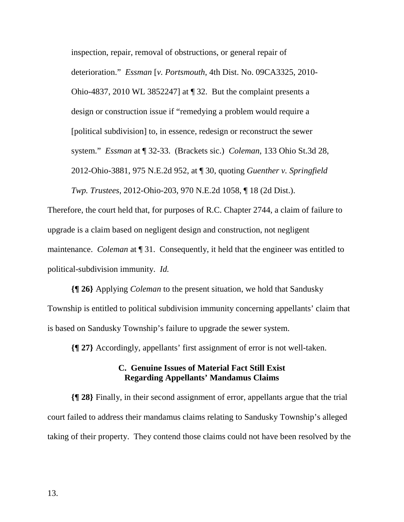inspection, repair, removal of obstructions, or general repair of deterioration." *Essman* [*v. Portsmouth*, 4th Dist. No. 09CA3325, 2010- Ohio-4837, 2010 WL 3852247] at ¶ 32. But the complaint presents a design or construction issue if "remedying a problem would require a [political subdivision] to, in essence, redesign or reconstruct the sewer system." *Essman* at ¶ 32-33. (Brackets sic.) *Coleman*, 133 Ohio St.3d 28, 2012-Ohio-3881, 975 N.E.2d 952, at ¶ 30, quoting *Guenther v. Springfield Twp. Trustees*, 2012-Ohio-203, 970 N.E.2d 1058, ¶ 18 (2d Dist.).

Therefore, the court held that, for purposes of R.C. Chapter 2744, a claim of failure to upgrade is a claim based on negligent design and construction, not negligent maintenance. *Coleman* at ¶ 31. Consequently, it held that the engineer was entitled to political-subdivision immunity. *Id.*

**{¶ 26}** Applying *Coleman* to the present situation, we hold that Sandusky Township is entitled to political subdivision immunity concerning appellants' claim that is based on Sandusky Township's failure to upgrade the sewer system.

**{¶ 27}** Accordingly, appellants' first assignment of error is not well-taken.

# **C. Genuine Issues of Material Fact Still Exist Regarding Appellants' Mandamus Claims**

**{¶ 28}** Finally, in their second assignment of error, appellants argue that the trial court failed to address their mandamus claims relating to Sandusky Township's alleged taking of their property. They contend those claims could not have been resolved by the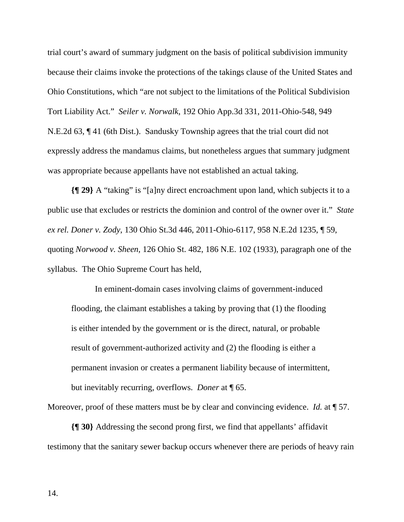trial court's award of summary judgment on the basis of political subdivision immunity because their claims invoke the protections of the takings clause of the United States and Ohio Constitutions, which "are not subject to the limitations of the Political Subdivision Tort Liability Act." *Seiler v. Norwalk*, 192 Ohio App.3d 331, 2011-Ohio-548, 949 N.E.2d 63, ¶ 41 (6th Dist.). Sandusky Township agrees that the trial court did not expressly address the mandamus claims, but nonetheless argues that summary judgment was appropriate because appellants have not established an actual taking.

**{¶ 29}** A "taking" is "[a]ny direct encroachment upon land, which subjects it to a public use that excludes or restricts the dominion and control of the owner over it." *State ex rel. Doner v. Zody*, 130 Ohio St.3d 446, 2011-Ohio-6117, 958 N.E.2d 1235, ¶ 59, quoting *Norwood v. Sheen*, 126 Ohio St. 482, 186 N.E. 102 (1933), paragraph one of the syllabus. The Ohio Supreme Court has held,

In eminent-domain cases involving claims of government-induced flooding, the claimant establishes a taking by proving that (1) the flooding is either intended by the government or is the direct, natural, or probable result of government-authorized activity and (2) the flooding is either a permanent invasion or creates a permanent liability because of intermittent, but inevitably recurring, overflows. *Doner* at ¶ 65.

Moreover, proof of these matters must be by clear and convincing evidence. *Id.* at  $\P$  57.

**{¶ 30}** Addressing the second prong first, we find that appellants' affidavit testimony that the sanitary sewer backup occurs whenever there are periods of heavy rain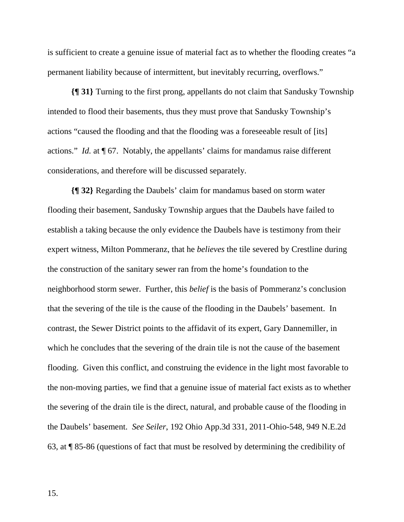is sufficient to create a genuine issue of material fact as to whether the flooding creates "a permanent liability because of intermittent, but inevitably recurring, overflows."

**{¶ 31}** Turning to the first prong, appellants do not claim that Sandusky Township intended to flood their basements, thus they must prove that Sandusky Township's actions "caused the flooding and that the flooding was a foreseeable result of [its] actions." *Id.* at ¶ 67. Notably, the appellants' claims for mandamus raise different considerations, and therefore will be discussed separately.

**{¶ 32}** Regarding the Daubels' claim for mandamus based on storm water flooding their basement, Sandusky Township argues that the Daubels have failed to establish a taking because the only evidence the Daubels have is testimony from their expert witness, Milton Pommeranz, that he *believes* the tile severed by Crestline during the construction of the sanitary sewer ran from the home's foundation to the neighborhood storm sewer. Further, this *belief* is the basis of Pommeranz's conclusion that the severing of the tile is the cause of the flooding in the Daubels' basement. In contrast, the Sewer District points to the affidavit of its expert, Gary Dannemiller, in which he concludes that the severing of the drain tile is not the cause of the basement flooding. Given this conflict, and construing the evidence in the light most favorable to the non-moving parties, we find that a genuine issue of material fact exists as to whether the severing of the drain tile is the direct, natural, and probable cause of the flooding in the Daubels' basement. *See Seiler*, 192 Ohio App.3d 331, 2011-Ohio-548, 949 N.E.2d 63, at ¶ 85-86 (questions of fact that must be resolved by determining the credibility of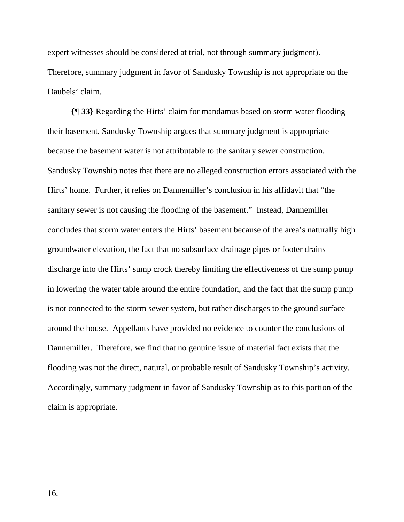expert witnesses should be considered at trial, not through summary judgment). Therefore, summary judgment in favor of Sandusky Township is not appropriate on the Daubels' claim.

**{¶ 33}** Regarding the Hirts' claim for mandamus based on storm water flooding their basement, Sandusky Township argues that summary judgment is appropriate because the basement water is not attributable to the sanitary sewer construction. Sandusky Township notes that there are no alleged construction errors associated with the Hirts' home. Further, it relies on Dannemiller's conclusion in his affidavit that "the sanitary sewer is not causing the flooding of the basement." Instead, Dannemiller concludes that storm water enters the Hirts' basement because of the area's naturally high groundwater elevation, the fact that no subsurface drainage pipes or footer drains discharge into the Hirts' sump crock thereby limiting the effectiveness of the sump pump in lowering the water table around the entire foundation, and the fact that the sump pump is not connected to the storm sewer system, but rather discharges to the ground surface around the house. Appellants have provided no evidence to counter the conclusions of Dannemiller. Therefore, we find that no genuine issue of material fact exists that the flooding was not the direct, natural, or probable result of Sandusky Township's activity. Accordingly, summary judgment in favor of Sandusky Township as to this portion of the claim is appropriate.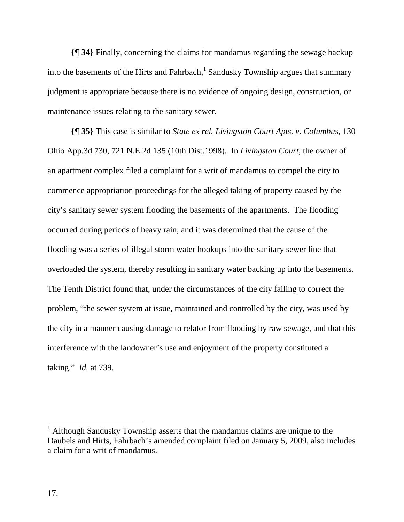**{¶ 34}** Finally, concerning the claims for mandamus regarding the sewage backup into the basements of the Hirts and Fahrbach, $<sup>1</sup>$  Sandusky Township argues that summary</sup> judgment is appropriate because there is no evidence of ongoing design, construction, or maintenance issues relating to the sanitary sewer.

**{¶ 35}** This case is similar to *State ex rel. Livingston Court Apts. v. Columbus*, 130 Ohio App.3d 730, 721 N.E.2d 135 (10th Dist.1998). In *Livingston Court*, the owner of an apartment complex filed a complaint for a writ of mandamus to compel the city to commence appropriation proceedings for the alleged taking of property caused by the city's sanitary sewer system flooding the basements of the apartments. The flooding occurred during periods of heavy rain, and it was determined that the cause of the flooding was a series of illegal storm water hookups into the sanitary sewer line that overloaded the system, thereby resulting in sanitary water backing up into the basements. The Tenth District found that, under the circumstances of the city failing to correct the problem, "the sewer system at issue, maintained and controlled by the city, was used by the city in a manner causing damage to relator from flooding by raw sewage, and that this interference with the landowner's use and enjoyment of the property constituted a taking." *Id.* at 739.

 $\overline{a}$ 

<sup>&</sup>lt;sup>1</sup> Although Sandusky Township asserts that the mandamus claims are unique to the Daubels and Hirts, Fahrbach's amended complaint filed on January 5, 2009, also includes a claim for a writ of mandamus.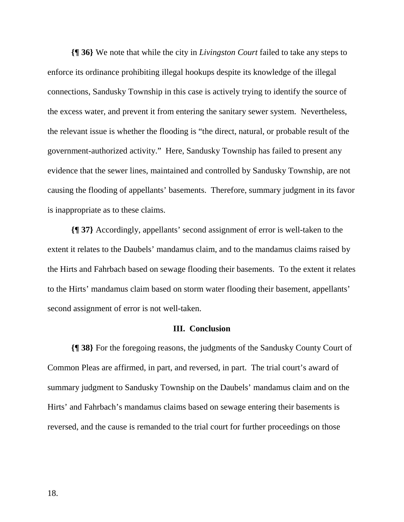**{¶ 36}** We note that while the city in *Livingston Court* failed to take any steps to enforce its ordinance prohibiting illegal hookups despite its knowledge of the illegal connections, Sandusky Township in this case is actively trying to identify the source of the excess water, and prevent it from entering the sanitary sewer system. Nevertheless, the relevant issue is whether the flooding is "the direct, natural, or probable result of the government-authorized activity." Here, Sandusky Township has failed to present any evidence that the sewer lines, maintained and controlled by Sandusky Township, are not causing the flooding of appellants' basements. Therefore, summary judgment in its favor is inappropriate as to these claims.

**{¶ 37}** Accordingly, appellants' second assignment of error is well-taken to the extent it relates to the Daubels' mandamus claim, and to the mandamus claims raised by the Hirts and Fahrbach based on sewage flooding their basements. To the extent it relates to the Hirts' mandamus claim based on storm water flooding their basement, appellants' second assignment of error is not well-taken.

# **III. Conclusion**

**{¶ 38}** For the foregoing reasons, the judgments of the Sandusky County Court of Common Pleas are affirmed, in part, and reversed, in part. The trial court's award of summary judgment to Sandusky Township on the Daubels' mandamus claim and on the Hirts' and Fahrbach's mandamus claims based on sewage entering their basements is reversed, and the cause is remanded to the trial court for further proceedings on those